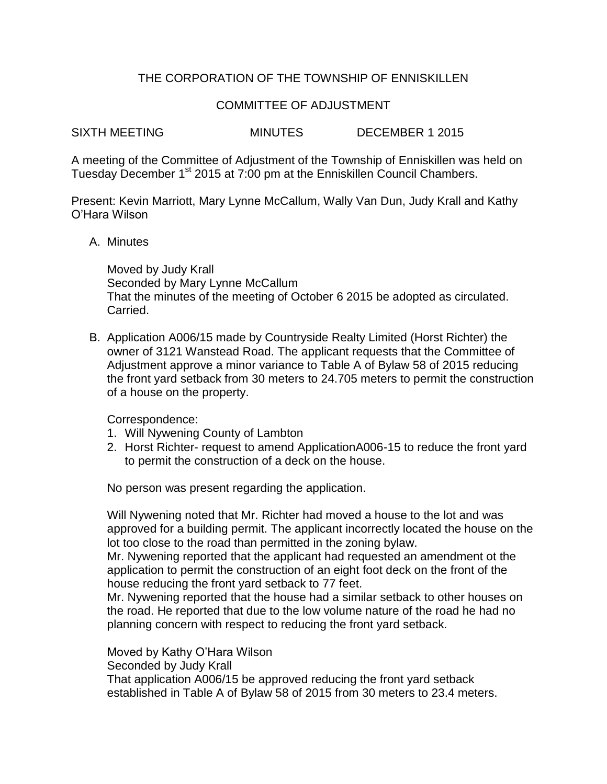## THE CORPORATION OF THE TOWNSHIP OF ENNISKILLEN

## COMMITTEE OF ADJUSTMENT

SIXTH MEETING MINUTES DECEMBER 1 2015

A meeting of the Committee of Adjustment of the Township of Enniskillen was held on Tuesday December 1<sup>st</sup> 2015 at 7:00 pm at the Enniskillen Council Chambers.

Present: Kevin Marriott, Mary Lynne McCallum, Wally Van Dun, Judy Krall and Kathy O'Hara Wilson

## A. Minutes

Moved by Judy Krall Seconded by Mary Lynne McCallum That the minutes of the meeting of October 6 2015 be adopted as circulated. Carried.

B. Application A006/15 made by Countryside Realty Limited (Horst Richter) the owner of 3121 Wanstead Road. The applicant requests that the Committee of Adjustment approve a minor variance to Table A of Bylaw 58 of 2015 reducing the front yard setback from 30 meters to 24.705 meters to permit the construction of a house on the property.

Correspondence:

- 1. Will Nywening County of Lambton
- 2. Horst Richter- request to amend ApplicationA006-15 to reduce the front yard to permit the construction of a deck on the house.

No person was present regarding the application.

Will Nywening noted that Mr. Richter had moved a house to the lot and was approved for a building permit. The applicant incorrectly located the house on the lot too close to the road than permitted in the zoning bylaw.

Mr. Nywening reported that the applicant had requested an amendment ot the application to permit the construction of an eight foot deck on the front of the house reducing the front yard setback to 77 feet.

Mr. Nywening reported that the house had a similar setback to other houses on the road. He reported that due to the low volume nature of the road he had no planning concern with respect to reducing the front yard setback.

Moved by Kathy O'Hara Wilson Seconded by Judy Krall That application A006/15 be approved reducing the front yard setback established in Table A of Bylaw 58 of 2015 from 30 meters to 23.4 meters.